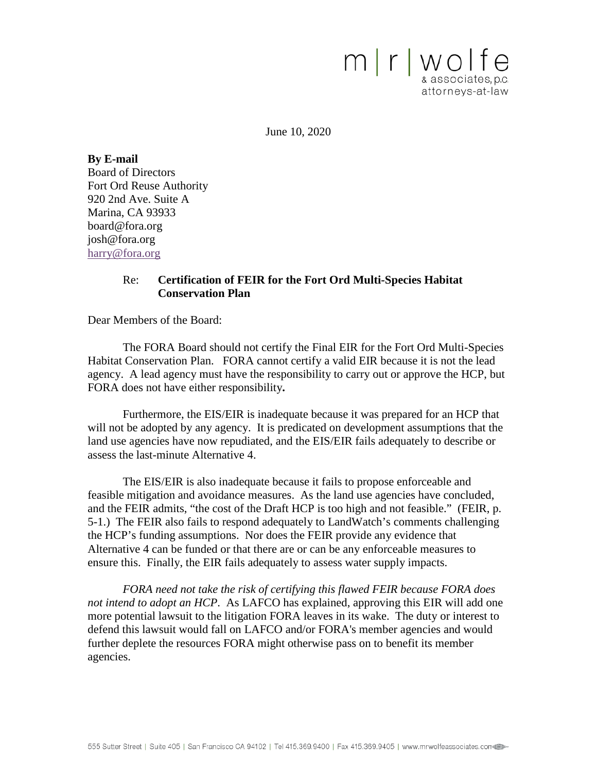mrwolfe & associates, p.c. attorneys-at-law

June 10, 2020

**By E-mail** Board of Directors Fort Ord Reuse Authority 920 2nd Ave. Suite A Marina, CA 93933 [board@fora.org](mailto:board@fora.org) [josh@fora.org](mailto:josh@fora.org) [harry@fora.org](mailto:harry@fora.org)

#### Re: **Certification of FEIR for the Fort Ord Multi-Species Habitat Conservation Plan**

Dear Members of the Board:

The FORA Board should not certify the Final EIR for the Fort Ord Multi-Species Habitat Conservation Plan. FORA cannot certify a valid EIR because it is not the lead agency. A lead agency must have the responsibility to carry out or approve the HCP, but FORA does not have either responsibility**.** 

Furthermore, the EIS/EIR is inadequate because it was prepared for an HCP that will not be adopted by any agency. It is predicated on development assumptions that the land use agencies have now repudiated, and the EIS/EIR fails adequately to describe or assess the last-minute Alternative 4.

The EIS/EIR is also inadequate because it fails to propose enforceable and feasible mitigation and avoidance measures. As the land use agencies have concluded, and the FEIR admits, "the cost of the Draft HCP is too high and not feasible." (FEIR, p. 5-1.) The FEIR also fails to respond adequately to LandWatch's comments challenging the HCP's funding assumptions. Nor does the FEIR provide any evidence that Alternative 4 can be funded or that there are or can be any enforceable measures to ensure this. Finally, the EIR fails adequately to assess water supply impacts.

*FORA need not take the risk of certifying this flawed FEIR because FORA does not intend to adopt an HCP*. As LAFCO has explained, approving this EIR will add one more potential lawsuit to the litigation FORA leaves in its wake. The duty or interest to defend this lawsuit would fall on LAFCO and/or FORA's member agencies and would further deplete the resources FORA might otherwise pass on to benefit its member agencies.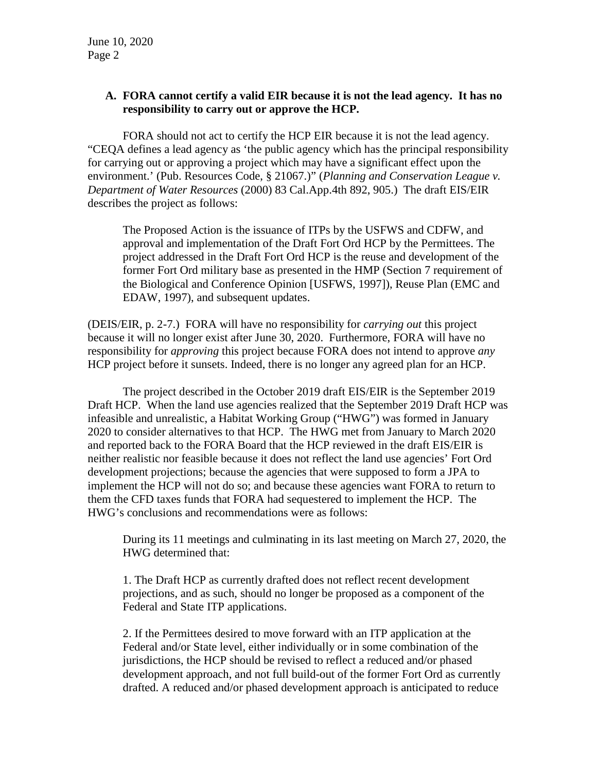# **A. FORA cannot certify a valid EIR because it is not the lead agency. It has no responsibility to carry out or approve the HCP.**

FORA should not act to certify the HCP EIR because it is not the lead agency. "CEQA defines a lead agency as 'the public agency which has the principal responsibility for carrying out or approving a project which may have a significant effect upon the environment.' (Pub. Resources Code, § 21067.)" (*Planning and Conservation League v. Department of Water Resources* (2000) 83 Cal.App.4th 892, 905.) The draft EIS/EIR describes the project as follows:

The Proposed Action is the issuance of ITPs by the USFWS and CDFW, and approval and implementation of the Draft Fort Ord HCP by the Permittees. The project addressed in the Draft Fort Ord HCP is the reuse and development of the former Fort Ord military base as presented in the HMP (Section 7 requirement of the Biological and Conference Opinion [USFWS, 1997]), Reuse Plan (EMC and EDAW, 1997), and subsequent updates.

(DEIS/EIR, p. 2-7.) FORA will have no responsibility for *carrying out* this project because it will no longer exist after June 30, 2020. Furthermore, FORA will have no responsibility for *approving* this project because FORA does not intend to approve *any* HCP project before it sunsets. Indeed, there is no longer any agreed plan for an HCP.

The project described in the October 2019 draft EIS/EIR is the September 2019 Draft HCP. When the land use agencies realized that the September 2019 Draft HCP was infeasible and unrealistic, a Habitat Working Group ("HWG") was formed in January 2020 to consider alternatives to that HCP. The HWG met from January to March 2020 and reported back to the FORA Board that the HCP reviewed in the draft EIS/EIR is neither realistic nor feasible because it does not reflect the land use agencies' Fort Ord development projections; because the agencies that were supposed to form a JPA to implement the HCP will not do so; and because these agencies want FORA to return to them the CFD taxes funds that FORA had sequestered to implement the HCP. The HWG's conclusions and recommendations were as follows:

During its 11 meetings and culminating in its last meeting on March 27, 2020, the HWG determined that:

1. The Draft HCP as currently drafted does not reflect recent development projections, and as such, should no longer be proposed as a component of the Federal and State ITP applications.

2. If the Permittees desired to move forward with an ITP application at the Federal and/or State level, either individually or in some combination of the jurisdictions, the HCP should be revised to reflect a reduced and/or phased development approach, and not full build-out of the former Fort Ord as currently drafted. A reduced and/or phased development approach is anticipated to reduce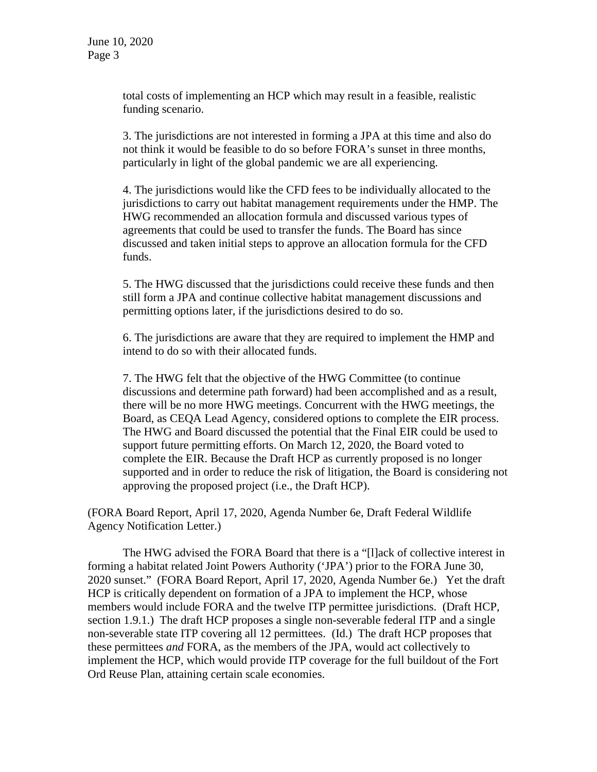total costs of implementing an HCP which may result in a feasible, realistic funding scenario.

3. The jurisdictions are not interested in forming a JPA at this time and also do not think it would be feasible to do so before FORA's sunset in three months, particularly in light of the global pandemic we are all experiencing.

4. The jurisdictions would like the CFD fees to be individually allocated to the jurisdictions to carry out habitat management requirements under the HMP. The HWG recommended an allocation formula and discussed various types of agreements that could be used to transfer the funds. The Board has since discussed and taken initial steps to approve an allocation formula for the CFD funds.

5. The HWG discussed that the jurisdictions could receive these funds and then still form a JPA and continue collective habitat management discussions and permitting options later, if the jurisdictions desired to do so.

6. The jurisdictions are aware that they are required to implement the HMP and intend to do so with their allocated funds.

7. The HWG felt that the objective of the HWG Committee (to continue discussions and determine path forward) had been accomplished and as a result, there will be no more HWG meetings. Concurrent with the HWG meetings, the Board, as CEQA Lead Agency, considered options to complete the EIR process. The HWG and Board discussed the potential that the Final EIR could be used to support future permitting efforts. On March 12, 2020, the Board voted to complete the EIR. Because the Draft HCP as currently proposed is no longer supported and in order to reduce the risk of litigation, the Board is considering not approving the proposed project (i.e., the Draft HCP).

(FORA Board Report, April 17, 2020, Agenda Number 6e, Draft Federal Wildlife Agency Notification Letter.)

The HWG advised the FORA Board that there is a "[l]ack of collective interest in forming a habitat related Joint Powers Authority ('JPA') prior to the FORA June 30, 2020 sunset." (FORA Board Report, April 17, 2020, Agenda Number 6e.) Yet the draft HCP is critically dependent on formation of a JPA to implement the HCP, whose members would include FORA and the twelve ITP permittee jurisdictions. (Draft HCP, section 1.9.1.) The draft HCP proposes a single non-severable federal ITP and a single non-severable state ITP covering all 12 permittees. (Id.) The draft HCP proposes that these permittees *and* FORA, as the members of the JPA, would act collectively to implement the HCP, which would provide ITP coverage for the full buildout of the Fort Ord Reuse Plan, attaining certain scale economies.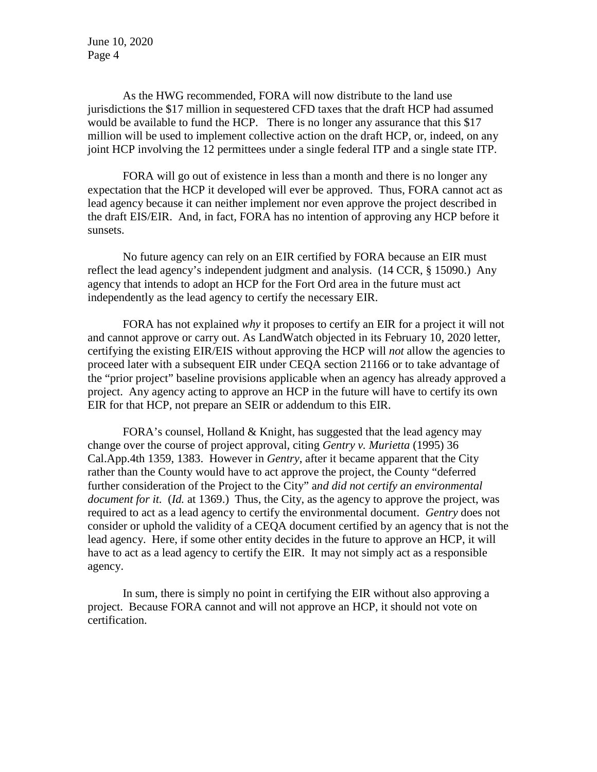As the HWG recommended, FORA will now distribute to the land use jurisdictions the \$17 million in sequestered CFD taxes that the draft HCP had assumed would be available to fund the HCP. There is no longer any assurance that this \$17 million will be used to implement collective action on the draft HCP, or, indeed, on any joint HCP involving the 12 permittees under a single federal ITP and a single state ITP.

FORA will go out of existence in less than a month and there is no longer any expectation that the HCP it developed will ever be approved. Thus, FORA cannot act as lead agency because it can neither implement nor even approve the project described in the draft EIS/EIR. And, in fact, FORA has no intention of approving any HCP before it sunsets.

No future agency can rely on an EIR certified by FORA because an EIR must reflect the lead agency's independent judgment and analysis. (14 CCR, § 15090.) Any agency that intends to adopt an HCP for the Fort Ord area in the future must act independently as the lead agency to certify the necessary EIR.

FORA has not explained *why* it proposes to certify an EIR for a project it will not and cannot approve or carry out. As LandWatch objected in its February 10, 2020 letter, certifying the existing EIR/EIS without approving the HCP will *not* allow the agencies to proceed later with a subsequent EIR under CEQA section 21166 or to take advantage of the "prior project" baseline provisions applicable when an agency has already approved a project. Any agency acting to approve an HCP in the future will have to certify its own EIR for that HCP, not prepare an SEIR or addendum to this EIR.

FORA's counsel, Holland & Knight, has suggested that the lead agency may change over the course of project approval, citing *Gentry v. Murietta* (1995) 36 Cal.App.4th 1359, 1383. However in *Gentry*, after it became apparent that the City rather than the County would have to act approve the project, the County "deferred further consideration of the Project to the City" a*nd did not certify an environmental document for it.* (*Id.* at 1369.) Thus, the City, as the agency to approve the project, was required to act as a lead agency to certify the environmental document. *Gentry* does not consider or uphold the validity of a CEQA document certified by an agency that is not the lead agency. Here, if some other entity decides in the future to approve an HCP, it will have to act as a lead agency to certify the EIR. It may not simply act as a responsible agency.

In sum, there is simply no point in certifying the EIR without also approving a project. Because FORA cannot and will not approve an HCP, it should not vote on certification.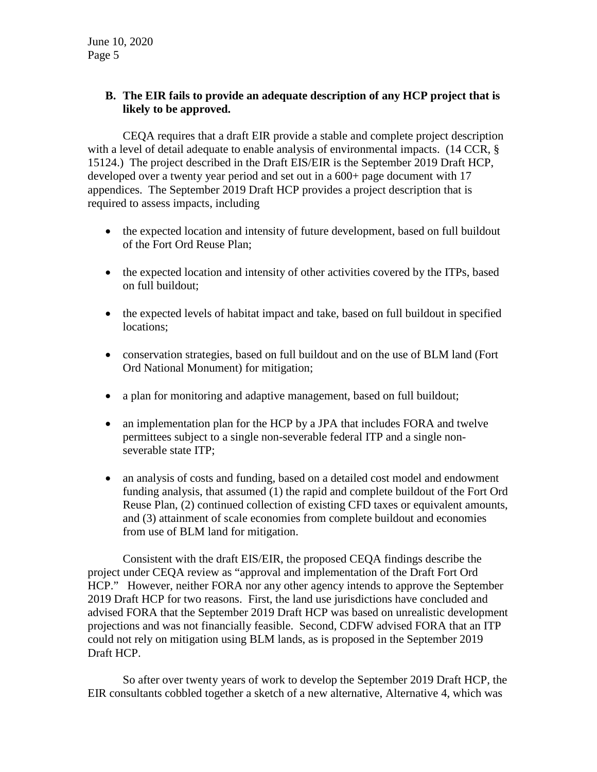# **B. The EIR fails to provide an adequate description of any HCP project that is likely to be approved.**

CEQA requires that a draft EIR provide a stable and complete project description with a level of detail adequate to enable analysis of environmental impacts. (14 CCR, § 15124.) The project described in the Draft EIS/EIR is the September 2019 Draft HCP, developed over a twenty year period and set out in a 600+ page document with 17 appendices. The September 2019 Draft HCP provides a project description that is required to assess impacts, including

- the expected location and intensity of future development, based on full buildout of the Fort Ord Reuse Plan;
- the expected location and intensity of other activities covered by the ITPs, based on full buildout;
- the expected levels of habitat impact and take, based on full buildout in specified locations;
- conservation strategies, based on full buildout and on the use of BLM land (Fort Ord National Monument) for mitigation;
- a plan for monitoring and adaptive management, based on full buildout;
- an implementation plan for the HCP by a JPA that includes FORA and twelve permittees subject to a single non-severable federal ITP and a single nonseverable state ITP;
- an analysis of costs and funding, based on a detailed cost model and endowment funding analysis, that assumed (1) the rapid and complete buildout of the Fort Ord Reuse Plan, (2) continued collection of existing CFD taxes or equivalent amounts, and (3) attainment of scale economies from complete buildout and economies from use of BLM land for mitigation.

Consistent with the draft EIS/EIR, the proposed CEQA findings describe the project under CEQA review as "approval and implementation of the Draft Fort Ord HCP." However, neither FORA nor any other agency intends to approve the September 2019 Draft HCP for two reasons. First, the land use jurisdictions have concluded and advised FORA that the September 2019 Draft HCP was based on unrealistic development projections and was not financially feasible. Second, CDFW advised FORA that an ITP could not rely on mitigation using BLM lands, as is proposed in the September 2019 Draft HCP.

So after over twenty years of work to develop the September 2019 Draft HCP, the EIR consultants cobbled together a sketch of a new alternative, Alternative 4, which was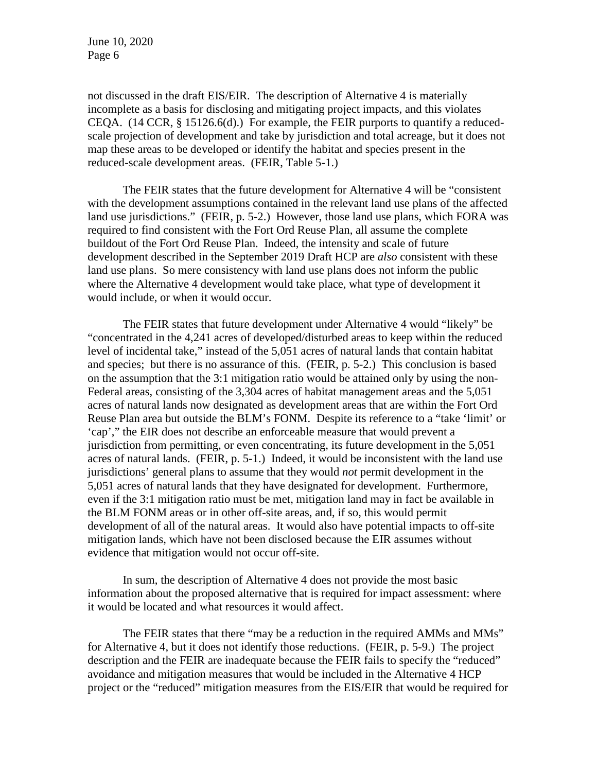not discussed in the draft EIS/EIR. The description of Alternative 4 is materially incomplete as a basis for disclosing and mitigating project impacts, and this violates CEQA.  $(14 \text{ CCR}, \S 15126.6(d))$  For example, the FEIR purports to quantify a reducedscale projection of development and take by jurisdiction and total acreage, but it does not map these areas to be developed or identify the habitat and species present in the reduced-scale development areas. (FEIR, Table 5-1.)

The FEIR states that the future development for Alternative 4 will be "consistent with the development assumptions contained in the relevant land use plans of the affected land use jurisdictions." (FEIR, p. 5-2.) However, those land use plans, which FORA was required to find consistent with the Fort Ord Reuse Plan, all assume the complete buildout of the Fort Ord Reuse Plan. Indeed, the intensity and scale of future development described in the September 2019 Draft HCP are *also* consistent with these land use plans. So mere consistency with land use plans does not inform the public where the Alternative 4 development would take place, what type of development it would include, or when it would occur.

The FEIR states that future development under Alternative 4 would "likely" be "concentrated in the 4,241 acres of developed/disturbed areas to keep within the reduced level of incidental take," instead of the 5,051 acres of natural lands that contain habitat and species; but there is no assurance of this. (FEIR, p. 5-2.) This conclusion is based on the assumption that the 3:1 mitigation ratio would be attained only by using the non-Federal areas, consisting of the 3,304 acres of habitat management areas and the 5,051 acres of natural lands now designated as development areas that are within the Fort Ord Reuse Plan area but outside the BLM's FONM. Despite its reference to a "take 'limit' or 'cap'," the EIR does not describe an enforceable measure that would prevent a jurisdiction from permitting, or even concentrating, its future development in the 5,051 acres of natural lands. (FEIR, p. 5-1.) Indeed, it would be inconsistent with the land use jurisdictions' general plans to assume that they would *not* permit development in the 5,051 acres of natural lands that they have designated for development. Furthermore, even if the 3:1 mitigation ratio must be met, mitigation land may in fact be available in the BLM FONM areas or in other off-site areas, and, if so, this would permit development of all of the natural areas. It would also have potential impacts to off-site mitigation lands, which have not been disclosed because the EIR assumes without evidence that mitigation would not occur off-site.

In sum, the description of Alternative 4 does not provide the most basic information about the proposed alternative that is required for impact assessment: where it would be located and what resources it would affect.

The FEIR states that there "may be a reduction in the required AMMs and MMs" for Alternative 4, but it does not identify those reductions. (FEIR, p. 5-9.) The project description and the FEIR are inadequate because the FEIR fails to specify the "reduced" avoidance and mitigation measures that would be included in the Alternative 4 HCP project or the "reduced" mitigation measures from the EIS/EIR that would be required for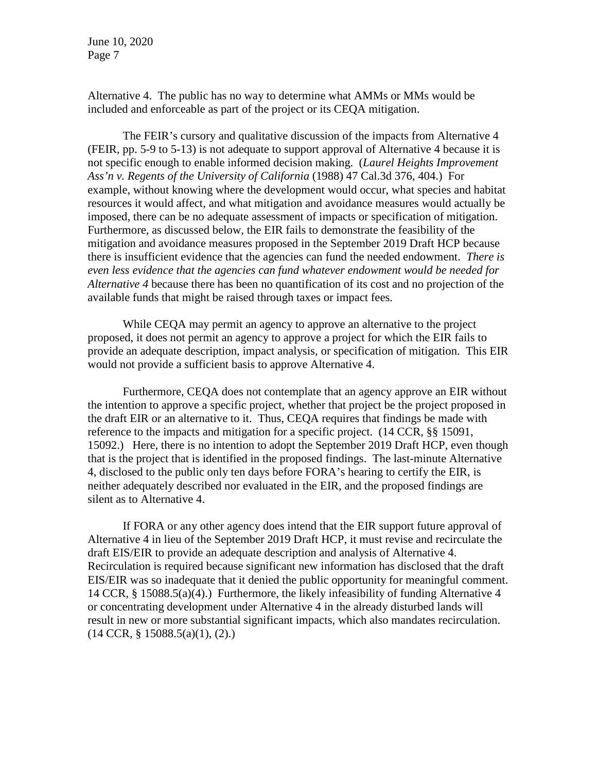Alternative 4. The public has no way to determine what AMMs or MMs would be included and enforceable as part of the project or its CEQA mitigation.

The FEIR's cursory and qualitative discussion of the impacts from Alternative 4 (FEIR, pp. 5-9 to 5-13) is not adequate to support approval of Alternative 4 because it is not specific enough to enable informed decision making. (*Laurel Heights Improvement Ass'n v. Regents of the University of California* (1988) 47 Cal.3d 376, 404.) For example, without knowing where the development would occur, what species and habitat resources it would affect, and what mitigation and avoidance measures would actually be imposed, there can be no adequate assessment of impacts or specification of mitigation. Furthermore, as discussed below, the EIR fails to demonstrate the feasibility of the mitigation and avoidance measures proposed in the September 2019 Draft HCP because there is insufficient evidence that the agencies can fund the needed endowment. *There is even less evidence that the agencies can fund whatever endowment would be needed for Alternative 4* because there has been no quantification of its cost and no projection of the available funds that might be raised through taxes or impact fees.

While CEQA may permit an agency to approve an alternative to the project proposed, it does not permit an agency to approve a project for which the EIR fails to provide an adequate description, impact analysis, or specification of mitigation. This EIR would not provide a sufficient basis to approve Alternative 4.

Furthermore, CEQA does not contemplate that an agency approve an EIR without the intention to approve a specific project, whether that project be the project proposed in the draft EIR or an alternative to it. Thus, CEQA requires that findings be made with reference to the impacts and mitigation for a specific project. (14 CCR, §§ 15091, 15092.) Here, there is no intention to adopt the September 2019 Draft HCP, even though that is the project that is identified in the proposed findings. The last-minute Alternative 4, disclosed to the public only ten days before FORA's hearing to certify the EIR, is neither adequately described nor evaluated in the EIR, and the proposed findings are silent as to Alternative 4.

If FORA or any other agency does intend that the EIR support future approval of Alternative 4 in lieu of the September 2019 Draft HCP, it must revise and recirculate the draft EIS/EIR to provide an adequate description and analysis of Alternative 4. Recirculation is required because significant new information has disclosed that the draft EIS/EIR was so inadequate that it denied the public opportunity for meaningful comment. 14 CCR, § 15088.5(a)(4).) Furthermore, the likely infeasibility of funding Alternative 4 or concentrating development under Alternative 4 in the already disturbed lands will result in new or more substantial significant impacts, which also mandates recirculation. (14 CCR, § 15088.5(a)(1), (2).)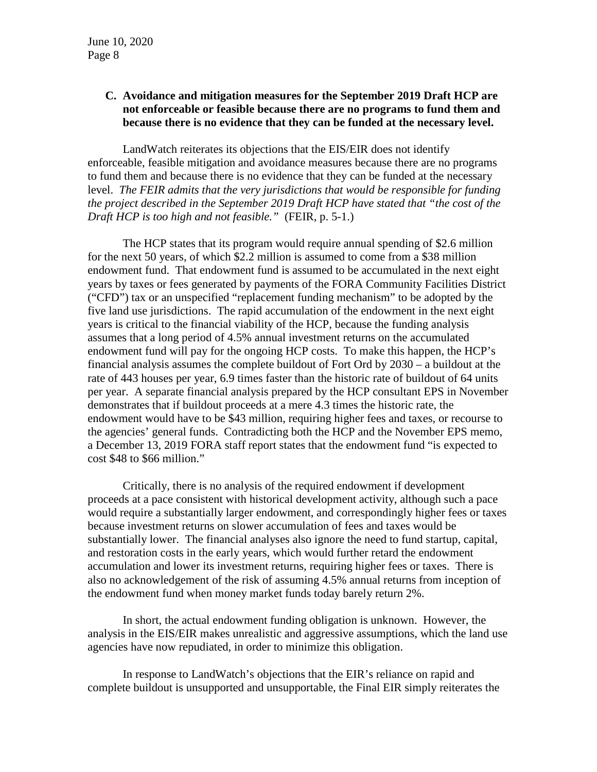# **C. Avoidance and mitigation measures for the September 2019 Draft HCP are not enforceable or feasible because there are no programs to fund them and because there is no evidence that they can be funded at the necessary level.**

LandWatch reiterates its objections that the EIS/EIR does not identify enforceable, feasible mitigation and avoidance measures because there are no programs to fund them and because there is no evidence that they can be funded at the necessary level. *The FEIR admits that the very jurisdictions that would be responsible for funding the project described in the September 2019 Draft HCP have stated that "the cost of the Draft HCP is too high and not feasible."* (FEIR, p. 5-1.)

The HCP states that its program would require annual spending of \$2.6 million for the next 50 years, of which \$2.2 million is assumed to come from a \$38 million endowment fund. That endowment fund is assumed to be accumulated in the next eight years by taxes or fees generated by payments of the FORA Community Facilities District ("CFD") tax or an unspecified "replacement funding mechanism" to be adopted by the five land use jurisdictions. The rapid accumulation of the endowment in the next eight years is critical to the financial viability of the HCP, because the funding analysis assumes that a long period of 4.5% annual investment returns on the accumulated endowment fund will pay for the ongoing HCP costs. To make this happen, the HCP's financial analysis assumes the complete buildout of Fort Ord by 2030 – a buildout at the rate of 443 houses per year, 6.9 times faster than the historic rate of buildout of 64 units per year. A separate financial analysis prepared by the HCP consultant EPS in November demonstrates that if buildout proceeds at a mere 4.3 times the historic rate, the endowment would have to be \$43 million, requiring higher fees and taxes, or recourse to the agencies' general funds. Contradicting both the HCP and the November EPS memo, a December 13, 2019 FORA staff report states that the endowment fund "is expected to cost \$48 to \$66 million."

Critically, there is no analysis of the required endowment if development proceeds at a pace consistent with historical development activity, although such a pace would require a substantially larger endowment, and correspondingly higher fees or taxes because investment returns on slower accumulation of fees and taxes would be substantially lower. The financial analyses also ignore the need to fund startup, capital, and restoration costs in the early years, which would further retard the endowment accumulation and lower its investment returns, requiring higher fees or taxes. There is also no acknowledgement of the risk of assuming 4.5% annual returns from inception of the endowment fund when money market funds today barely return 2%.

In short, the actual endowment funding obligation is unknown. However, the analysis in the EIS/EIR makes unrealistic and aggressive assumptions, which the land use agencies have now repudiated, in order to minimize this obligation.

In response to LandWatch's objections that the EIR's reliance on rapid and complete buildout is unsupported and unsupportable, the Final EIR simply reiterates the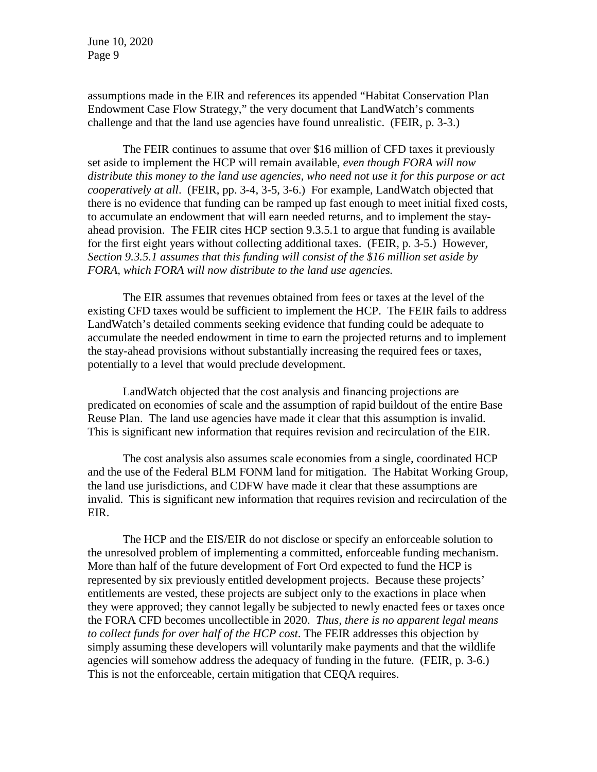assumptions made in the EIR and references its appended "Habitat Conservation Plan Endowment Case Flow Strategy," the very document that LandWatch's comments challenge and that the land use agencies have found unrealistic. (FEIR, p. 3-3.)

The FEIR continues to assume that over \$16 million of CFD taxes it previously set aside to implement the HCP will remain available, *even though FORA will now distribute this money to the land use agencies, who need not use it for this purpose or act cooperatively at all*. (FEIR, pp. 3-4, 3-5, 3-6.) For example, LandWatch objected that there is no evidence that funding can be ramped up fast enough to meet initial fixed costs, to accumulate an endowment that will earn needed returns, and to implement the stayahead provision. The FEIR cites HCP section 9.3.5.1 to argue that funding is available for the first eight years without collecting additional taxes. (FEIR, p. 3-5.) However, *Section 9.3.5.1 assumes that this funding will consist of the \$16 million set aside by FORA, which FORA will now distribute to the land use agencies.*

The EIR assumes that revenues obtained from fees or taxes at the level of the existing CFD taxes would be sufficient to implement the HCP. The FEIR fails to address LandWatch's detailed comments seeking evidence that funding could be adequate to accumulate the needed endowment in time to earn the projected returns and to implement the stay-ahead provisions without substantially increasing the required fees or taxes, potentially to a level that would preclude development.

LandWatch objected that the cost analysis and financing projections are predicated on economies of scale and the assumption of rapid buildout of the entire Base Reuse Plan. The land use agencies have made it clear that this assumption is invalid. This is significant new information that requires revision and recirculation of the EIR.

The cost analysis also assumes scale economies from a single, coordinated HCP and the use of the Federal BLM FONM land for mitigation. The Habitat Working Group, the land use jurisdictions, and CDFW have made it clear that these assumptions are invalid. This is significant new information that requires revision and recirculation of the EIR.

The HCP and the EIS/EIR do not disclose or specify an enforceable solution to the unresolved problem of implementing a committed, enforceable funding mechanism. More than half of the future development of Fort Ord expected to fund the HCP is represented by six previously entitled development projects. Because these projects' entitlements are vested, these projects are subject only to the exactions in place when they were approved; they cannot legally be subjected to newly enacted fees or taxes once the FORA CFD becomes uncollectible in 2020. *Thus, there is no apparent legal means to collect funds for over half of the HCP cost*. The FEIR addresses this objection by simply assuming these developers will voluntarily make payments and that the wildlife agencies will somehow address the adequacy of funding in the future. (FEIR, p. 3-6.) This is not the enforceable, certain mitigation that CEQA requires.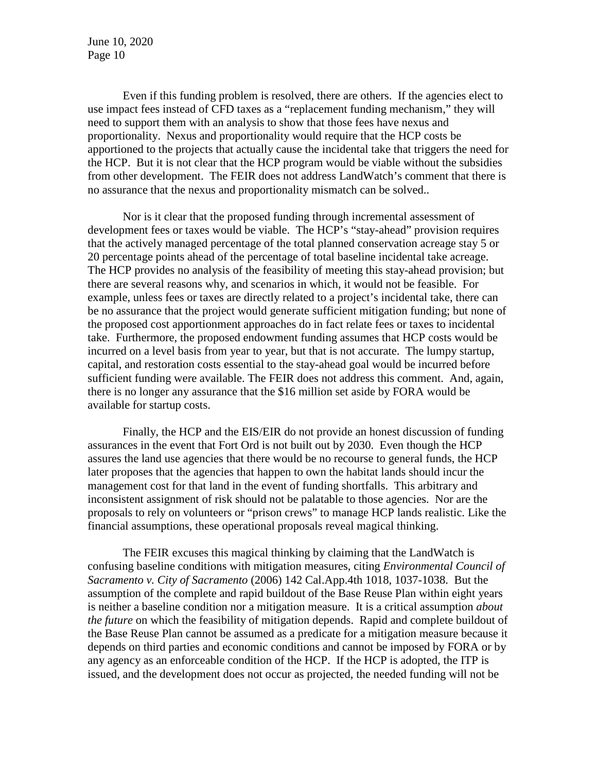Even if this funding problem is resolved, there are others. If the agencies elect to use impact fees instead of CFD taxes as a "replacement funding mechanism," they will need to support them with an analysis to show that those fees have nexus and proportionality. Nexus and proportionality would require that the HCP costs be apportioned to the projects that actually cause the incidental take that triggers the need for the HCP. But it is not clear that the HCP program would be viable without the subsidies from other development. The FEIR does not address LandWatch's comment that there is no assurance that the nexus and proportionality mismatch can be solved..

Nor is it clear that the proposed funding through incremental assessment of development fees or taxes would be viable. The HCP's "stay-ahead" provision requires that the actively managed percentage of the total planned conservation acreage stay 5 or 20 percentage points ahead of the percentage of total baseline incidental take acreage. The HCP provides no analysis of the feasibility of meeting this stay-ahead provision; but there are several reasons why, and scenarios in which, it would not be feasible. For example, unless fees or taxes are directly related to a project's incidental take, there can be no assurance that the project would generate sufficient mitigation funding; but none of the proposed cost apportionment approaches do in fact relate fees or taxes to incidental take. Furthermore, the proposed endowment funding assumes that HCP costs would be incurred on a level basis from year to year, but that is not accurate. The lumpy startup, capital, and restoration costs essential to the stay-ahead goal would be incurred before sufficient funding were available. The FEIR does not address this comment. And, again, there is no longer any assurance that the \$16 million set aside by FORA would be available for startup costs.

Finally, the HCP and the EIS/EIR do not provide an honest discussion of funding assurances in the event that Fort Ord is not built out by 2030. Even though the HCP assures the land use agencies that there would be no recourse to general funds, the HCP later proposes that the agencies that happen to own the habitat lands should incur the management cost for that land in the event of funding shortfalls. This arbitrary and inconsistent assignment of risk should not be palatable to those agencies. Nor are the proposals to rely on volunteers or "prison crews" to manage HCP lands realistic. Like the financial assumptions, these operational proposals reveal magical thinking.

The FEIR excuses this magical thinking by claiming that the LandWatch is confusing baseline conditions with mitigation measures, citing *Environmental Council of Sacramento v. City of Sacramento* (2006) 142 Cal.App.4th 1018, 1037-1038. But the assumption of the complete and rapid buildout of the Base Reuse Plan within eight years is neither a baseline condition nor a mitigation measure. It is a critical assumption *about the future* on which the feasibility of mitigation depends. Rapid and complete buildout of the Base Reuse Plan cannot be assumed as a predicate for a mitigation measure because it depends on third parties and economic conditions and cannot be imposed by FORA or by any agency as an enforceable condition of the HCP. If the HCP is adopted, the ITP is issued, and the development does not occur as projected, the needed funding will not be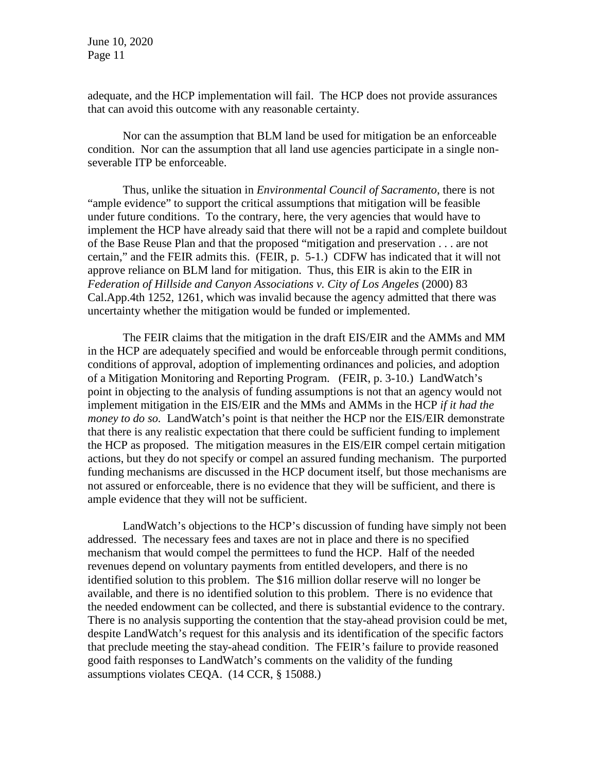adequate, and the HCP implementation will fail. The HCP does not provide assurances that can avoid this outcome with any reasonable certainty.

Nor can the assumption that BLM land be used for mitigation be an enforceable condition. Nor can the assumption that all land use agencies participate in a single nonseverable ITP be enforceable.

Thus, unlike the situation in *Environmental Council of Sacramento*, there is not "ample evidence" to support the critical assumptions that mitigation will be feasible under future conditions. To the contrary, here, the very agencies that would have to implement the HCP have already said that there will not be a rapid and complete buildout of the Base Reuse Plan and that the proposed "mitigation and preservation . . . are not certain," and the FEIR admits this. (FEIR, p. 5-1.) CDFW has indicated that it will not approve reliance on BLM land for mitigation. Thus, this EIR is akin to the EIR in *Federation of Hillside and Canyon Associations v. City of Los Angeles* (2000) 83 Cal.App.4th 1252, 1261, which was invalid because the agency admitted that there was uncertainty whether the mitigation would be funded or implemented.

The FEIR claims that the mitigation in the draft EIS/EIR and the AMMs and MM in the HCP are adequately specified and would be enforceable through permit conditions, conditions of approval, adoption of implementing ordinances and policies, and adoption of a Mitigation Monitoring and Reporting Program. (FEIR, p. 3-10.) LandWatch's point in objecting to the analysis of funding assumptions is not that an agency would not implement mitigation in the EIS/EIR and the MMs and AMMs in the HCP *if it had the money to do so.* LandWatch's point is that neither the HCP nor the EIS/EIR demonstrate that there is any realistic expectation that there could be sufficient funding to implement the HCP as proposed. The mitigation measures in the EIS/EIR compel certain mitigation actions, but they do not specify or compel an assured funding mechanism. The purported funding mechanisms are discussed in the HCP document itself, but those mechanisms are not assured or enforceable, there is no evidence that they will be sufficient, and there is ample evidence that they will not be sufficient.

LandWatch's objections to the HCP's discussion of funding have simply not been addressed. The necessary fees and taxes are not in place and there is no specified mechanism that would compel the permittees to fund the HCP. Half of the needed revenues depend on voluntary payments from entitled developers, and there is no identified solution to this problem. The \$16 million dollar reserve will no longer be available, and there is no identified solution to this problem. There is no evidence that the needed endowment can be collected, and there is substantial evidence to the contrary. There is no analysis supporting the contention that the stay-ahead provision could be met, despite LandWatch's request for this analysis and its identification of the specific factors that preclude meeting the stay-ahead condition. The FEIR's failure to provide reasoned good faith responses to LandWatch's comments on the validity of the funding assumptions violates CEQA. (14 CCR, § 15088.)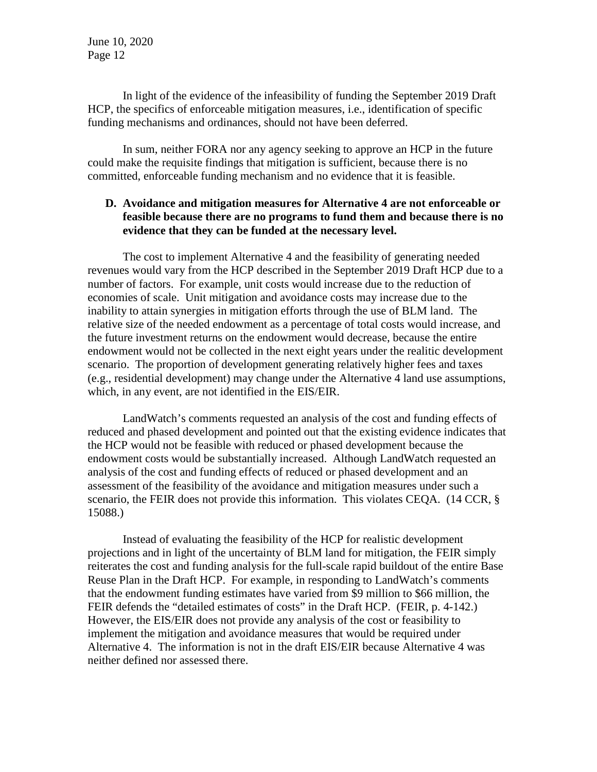In light of the evidence of the infeasibility of funding the September 2019 Draft HCP, the specifics of enforceable mitigation measures, i.e., identification of specific funding mechanisms and ordinances, should not have been deferred.

In sum, neither FORA nor any agency seeking to approve an HCP in the future could make the requisite findings that mitigation is sufficient, because there is no committed, enforceable funding mechanism and no evidence that it is feasible.

### **D. Avoidance and mitigation measures for Alternative 4 are not enforceable or feasible because there are no programs to fund them and because there is no evidence that they can be funded at the necessary level.**

The cost to implement Alternative 4 and the feasibility of generating needed revenues would vary from the HCP described in the September 2019 Draft HCP due to a number of factors. For example, unit costs would increase due to the reduction of economies of scale. Unit mitigation and avoidance costs may increase due to the inability to attain synergies in mitigation efforts through the use of BLM land. The relative size of the needed endowment as a percentage of total costs would increase, and the future investment returns on the endowment would decrease, because the entire endowment would not be collected in the next eight years under the realitic development scenario. The proportion of development generating relatively higher fees and taxes (e.g., residential development) may change under the Alternative 4 land use assumptions, which, in any event, are not identified in the EIS/EIR.

LandWatch's comments requested an analysis of the cost and funding effects of reduced and phased development and pointed out that the existing evidence indicates that the HCP would not be feasible with reduced or phased development because the endowment costs would be substantially increased. Although LandWatch requested an analysis of the cost and funding effects of reduced or phased development and an assessment of the feasibility of the avoidance and mitigation measures under such a scenario, the FEIR does not provide this information. This violates CEQA. (14 CCR, § 15088.)

Instead of evaluating the feasibility of the HCP for realistic development projections and in light of the uncertainty of BLM land for mitigation, the FEIR simply reiterates the cost and funding analysis for the full-scale rapid buildout of the entire Base Reuse Plan in the Draft HCP. For example, in responding to LandWatch's comments that the endowment funding estimates have varied from \$9 million to \$66 million, the FEIR defends the "detailed estimates of costs" in the Draft HCP. (FEIR, p. 4-142.) However, the EIS/EIR does not provide any analysis of the cost or feasibility to implement the mitigation and avoidance measures that would be required under Alternative 4. The information is not in the draft EIS/EIR because Alternative 4 was neither defined nor assessed there.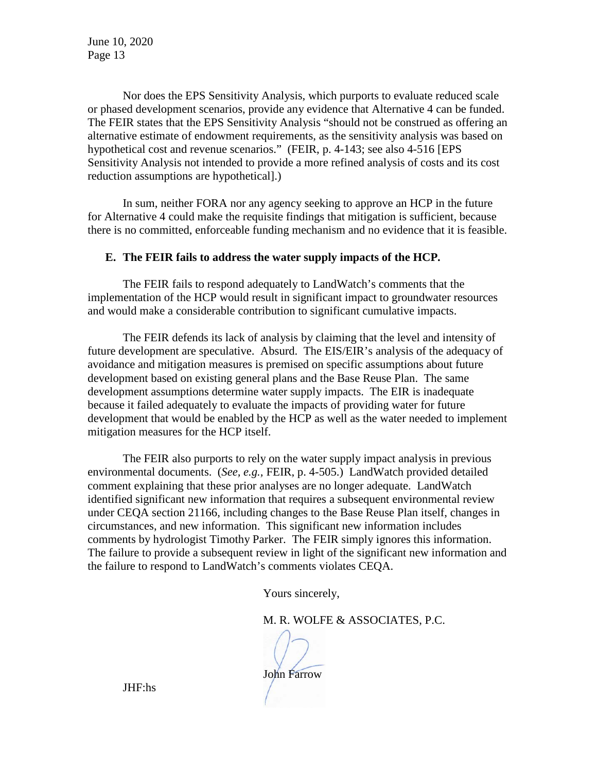Nor does the EPS Sensitivity Analysis, which purports to evaluate reduced scale or phased development scenarios, provide any evidence that Alternative 4 can be funded. The FEIR states that the EPS Sensitivity Analysis "should not be construed as offering an alternative estimate of endowment requirements, as the sensitivity analysis was based on hypothetical cost and revenue scenarios." (FEIR, p. 4-143; see also 4-516 [EPS Sensitivity Analysis not intended to provide a more refined analysis of costs and its cost reduction assumptions are hypothetical].)

In sum, neither FORA nor any agency seeking to approve an HCP in the future for Alternative 4 could make the requisite findings that mitigation is sufficient, because there is no committed, enforceable funding mechanism and no evidence that it is feasible.

#### **E. The FEIR fails to address the water supply impacts of the HCP.**

The FEIR fails to respond adequately to LandWatch's comments that the implementation of the HCP would result in significant impact to groundwater resources and would make a considerable contribution to significant cumulative impacts.

The FEIR defends its lack of analysis by claiming that the level and intensity of future development are speculative. Absurd. The EIS/EIR's analysis of the adequacy of avoidance and mitigation measures is premised on specific assumptions about future development based on existing general plans and the Base Reuse Plan. The same development assumptions determine water supply impacts. The EIR is inadequate because it failed adequately to evaluate the impacts of providing water for future development that would be enabled by the HCP as well as the water needed to implement mitigation measures for the HCP itself.

The FEIR also purports to rely on the water supply impact analysis in previous environmental documents. (*See, e.g.,* FEIR, p. 4-505.) LandWatch provided detailed comment explaining that these prior analyses are no longer adequate. LandWatch identified significant new information that requires a subsequent environmental review under CEQA section 21166, including changes to the Base Reuse Plan itself, changes in circumstances, and new information. This significant new information includes comments by hydrologist Timothy Parker. The FEIR simply ignores this information. The failure to provide a subsequent review in light of the significant new information and the failure to respond to LandWatch's comments violates CEQA.

Yours sincerely,

M. R. WOLFE & ASSOCIATES, P.C.

John Farrow

JHF:hs